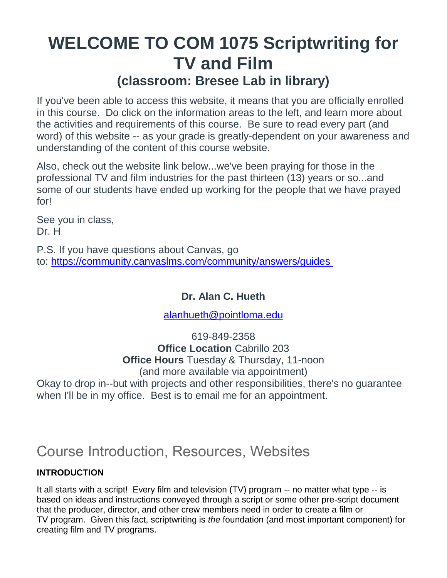## **WELCOME TO COM 1075 Scriptwriting for TV and Film (classroom: Bresee Lab in library)**

If you've been able to access this website, it means that you are officially enrolled in this course. Do click on the information areas to the left, and learn more about the activities and requirements of this course. Be sure to read every part (and word) of this website -- as your grade is greatly-dependent on your awareness and understanding of the content of this course website.

Also, check out the website link below...we've been praying for those in the professional TV and film industries for the past thirteen (13) years or so...and some of our students have ended up working for the people that we have prayed for!

See you in class, Dr. H

P.S. If you have questions about Canvas, go to: https://community.canvaslms.com/community/answers/guides

#### **Dr. Alan C. Hueth**

#### [alanhueth@pointloma.edu](mailto:alanhueth@pointloma.edu)

619-849-2358 **Office Location** Cabrillo 203 **Office Hours** Tuesday & Thursday, 11-noon (and more available via appointment)

Okay to drop in--but with projects and other responsibilities, there's no guarantee when I'll be in my office. Best is to email me for an appointment.

## Course Introduction, Resources, Websites

#### **INTRODUCTION**

It all starts with a script! Every film and television (TV) program -- no matter what type -- is based on ideas and instructions conveyed through a script or some other pre-script document that the producer, director, and other crew members need in order to create a film or TV program. Given this fact, scriptwriting is *the* foundation (and most important component) for creating film and TV programs.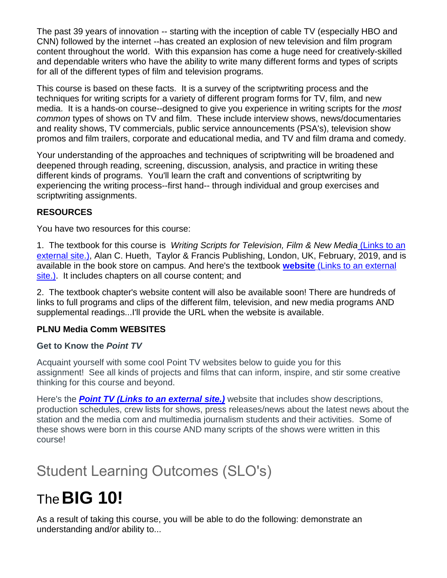The past 39 years of innovation -- starting with the inception of cable TV (especially HBO and CNN) followed by the internet --has created an explosion of new television and film program content throughout the world. With this expansion has come a huge need for creatively-skilled and dependable writers who have the ability to write many different forms and types of scripts for all of the different types of film and television programs.

This course is based on these facts. It is a survey of the scriptwriting process and the techniques for writing scripts for a variety of different program forms for TV, film, and new media. It is a hands-on course--designed to give you experience in writing scripts for the *most common* types of shows on TV and film. These include interview shows, news/documentaries and reality shows, TV commercials, public service announcements (PSA's), television show promos and film trailers, corporate and educational media, and TV and film drama and comedy.

Your understanding of the approaches and techniques of scriptwriting will be broadened and deepened through reading, screening, discussion, analysis, and practice in writing these different kinds of programs. You'll learn the craft and conventions of scriptwriting by experiencing the writing process--first hand-- through individual and group exercises and scriptwriting assignments.

#### **RESOURCES**

You have two resources for this course:

1. The textbook for this course is *Writing Scripts for Television, Film & New Media* (Links to an external site.), Alan C. Hueth, Taylor & Francis Publishing, London, UK, February, 2019, and is available in the book store on campus. And here's the textbook **[website](https://routledgetextbooks.com/textbooks/9781138618107/)** (Links to an external [site.\).](https://routledgetextbooks.com/textbooks/9781138618107/) It includes chapters on all course content; and

2. The textbook chapter's website content will also be available soon! There are hundreds of links to full programs and clips of the different film, television, and new media programs AND supplemental readings...I'll provide the URL when the website is available.

#### **PLNU Media Comm WEBSITES**

#### **Get to Know the** *Point TV*

Acquaint yourself with some cool Point TV websites below to guide you for this assignment! See all kinds of projects and films that can inform, inspire, and stir some creative thinking for this course and beyond.

Here's the *[Point TV](https://pointtvplnu.com/) (Links to an external site.)* website that includes show descriptions, production schedules, crew lists for shows, press releases/news about the latest news about the station and the media com and multimedia journalism students and their activities. Some of these shows were born in this course AND many scripts of the shows were written in this course!

## Student Learning Outcomes (SLO's)

# The**BIG 10!**

As a result of taking this course, you will be able to do the following: demonstrate an understanding and/or ability to...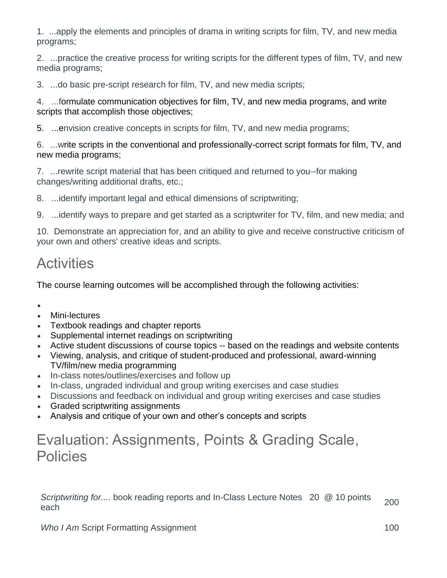1. ...apply the elements and principles of drama in writing scripts for film, TV, and new media programs;

2. ...practice the creative process for writing scripts for the different types of film, TV, and new media programs;

3. ...do basic pre-script research for film, TV, and new media scripts;

4. ...formulate communication objectives for film, TV, and new media programs, and write scripts that accomplish those objectives;

5. ...envision creative concepts in scripts for film, TV, and new media programs;

6. ...write scripts in the conventional and professionally-correct script formats for film, TV, and new media programs;

7. ...rewrite script material that has been critiqued and returned to you--for making changes/writing additional drafts, etc.;

8. ...identify important legal and ethical dimensions of scriptwriting;

9. ...identify ways to prepare and get started as a scriptwriter for TV, film, and new media; and

10. Demonstrate an appreciation for, and an ability to give and receive constructive criticism of your own and others' creative ideas and scripts.

## **Activities**

The course learning outcomes will be accomplished through the following activities:

- $\bullet$
- Mini-lectures
- Textbook readings and chapter reports
- Supplemental internet readings on scriptwriting
- Active student discussions of course topics -- based on the readings and website contents
- Viewing, analysis, and critique of student-produced and professional, award-winning TV/film/new media programming
- In-class notes/outlines/exercises and follow up
- In-class, ungraded individual and group writing exercises and case studies
- Discussions and feedback on individual and group writing exercises and case studies
- Graded scriptwriting assignments
- Analysis and critique of your own and other's concepts and scripts

## Evaluation: Assignments, Points & Grading Scale, Policies

Scriptwriting for.... book reading reports and In-Class Lecture Notes 20 @ 10 points 200<br>each

*Who I Am* Script Formatting Assignment 100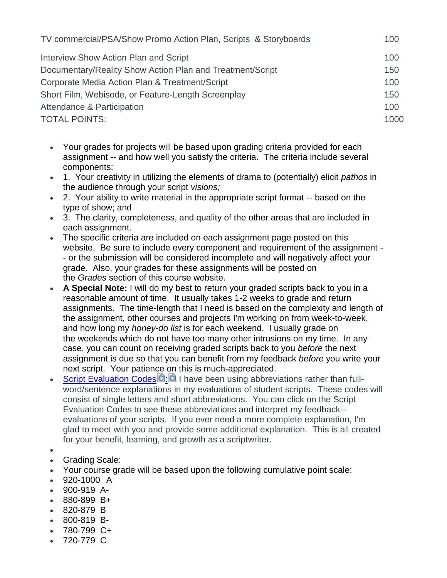| TV commercial/PSA/Show Promo Action Plan, Scripts & Storyboards | 100  |
|-----------------------------------------------------------------|------|
| Interview Show Action Plan and Script                           | 100  |
| Documentary/Reality Show Action Plan and Treatment/Script       | 150  |
| Corporate Media Action Plan & Treatment/Script                  | 100  |
| Short Film, Webisode, or Feature-Length Screenplay              | 150  |
| Attendance & Participation                                      | 100  |
| <b>TOTAL POINTS:</b>                                            | 1000 |

- Your grades for projects will be based upon grading criteria provided for each assignment -- and how well you satisfy the criteria. The criteria include several components:
- 1. Your creativity in utilizing the elements of drama to (potentially) elicit *pathos* in the audience through your script *visions;*
- 2. Your ability to write material in the appropriate script format -- based on the type of show; and
- 3. The clarity, completeness, and quality of the other areas that are included in each assignment.
- The specific criteria are included on each assignment page posted on this website. Be sure to include every component and requirement of the assignment - - or the submission will be considered incomplete and will negatively affect your grade. Also, your grades for these assignments will be posted on the *Grades* section of this course website.
- **A Special Note:** I will do my best to return your graded scripts back to you in a reasonable amount of time. It usually takes 1-2 weeks to grade and return assignments. The time-length that I need is based on the complexity and length of the assignment, other courses and projects I'm working on from week-to-week, and how long my *honey-do list* is for each weekend. I usually grade on the weekends which do not have too many other intrusions on my time. In any case, you can count on receiving graded scripts back to you *before* the next assignment is due so that you can benefit from my feedback *before* you write your next script. Your patience on this is much-appreciated.
- [Script Evaluation Codes](https://canvas.pointloma.edu/courses/45638/files/2717621/download?wrap=1) $\mathbb{R}$ [:](https://canvas.pointloma.edu/courses/45638/files/2717610/download?wrap=1)  $\blacksquare$  I have been using abbreviations rather than fullword/sentence explanations in my evaluations of student scripts. These codes will consist of single letters and short abbreviations. You can click on the Script Evaluation Codes to see these abbreviations and interpret my feedback- evaluations of your scripts. If you ever need a more complete explanation, I'm glad to meet with you and provide some additional explanation. This is all created for your benefit, learning, and growth as a scriptwriter.
- $\bullet$
- Grading Scale:
- Your course grade will be based upon the following cumulative point scale:
- 920-1000 A
- 900-919 A-
- 880-899 B+
- 820-879 B
- 800-819 B-
- $-780-799$  C+
- 720-779 C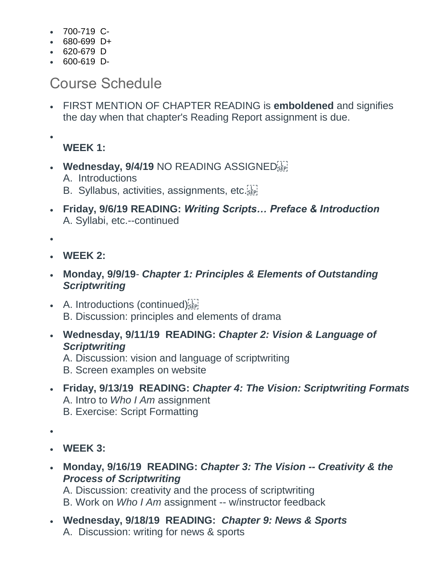- 700-719 C-
- $-680-699$  D+
- 620-679 D
- $-600-619$  D-

### Course Schedule

 FIRST MENTION OF CHAPTER READING is **emboldened** and signifies the day when that chapter's Reading Report assignment is due.

 $\bullet$ 

**WEEK 1:**

- **Wednesday, 9/4/19 NO READING ASSIGNED** 
	- A. Introductions
	- B. Syllabus, activities, assignments, etc.
- **Friday, 9/6/19 READING:** *Writing Scripts… Preface & Introduction* A. Syllabi, etc.--continued

 $\bullet$ 

- **WEEK 2:**
- **Monday, 9/9/19** *Chapter 1: Principles & Elements of Outstanding Scriptwriting*
- $\bullet$  A. Introductions (continued) $_{s_{\text{EPI}}}$ B. Discussion: principles and elements of drama
- **Wednesday, 9/11/19 READING:** *Chapter 2: Vision & Language of Scriptwriting*
	- A. Discussion: vision and language of scriptwriting
	- B. Screen examples on website
- **Friday, 9/13/19 READING:** *Chapter 4: The Vision: Scriptwriting Formats* A. Intro to *Who I Am* assignment B. Exercise: Script Formatting

 $\bullet$ 

- **WEEK 3:**
- **Monday, 9/16/19 READING:** *Chapter 3: The Vision -- Creativity & the Process of Scriptwriting*

A. Discussion: creativity and the process of scriptwriting

B. Work on *Who I Am* assignment -- w/instructor feedback

 **Wednesday, 9/18/19 READING:** *Chapter 9: News & Sports* A. Discussion: writing for news & sports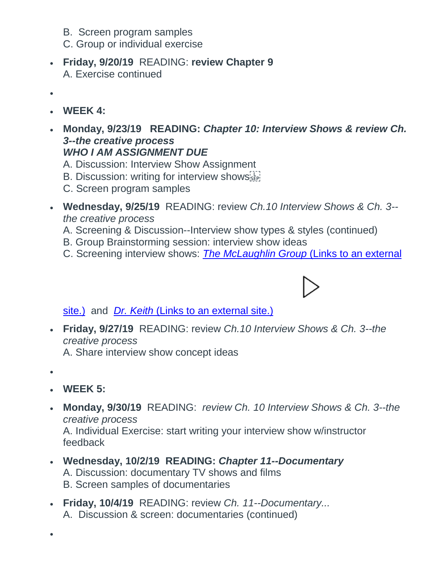- B. Screen program samples
- C. Group or individual exercise
- **Friday, 9/20/19** READING: **review Chapter 9** A. Exercise continued
- $\bullet$
- **WEEK 4:**
- **Monday, 9/23/19 READING:** *Chapter 10: Interview Shows & review Ch. 3--the creative process WHO I AM ASSIGNMENT DUE*
	- A. Discussion: Interview Show Assignment
	- B. Discussion: writing for interview shows
	- C. Screen program samples
- **Wednesday, 9/25/19** READING: review *Ch.10 Interview Shows & Ch. 3- the creative process*
	- A. Screening & Discussion--Interview show types & styles (continued)
	- B. Group Brainstorming session: interview show ideas
	- C. Screening interview shows: *[The McLaughlin Group](http://www.mclaughlin.com/)* (Links to an external

#### [site.\)](http://www.mclaughlin.com/) and *[Dr. Keith](https://www.youtube.com/watch?v=FAXZyn5G8nk&list=PLMATWUx3t7L96rNjgH09sBMvtz4Gjrma9)* (Links to an external site.[\)](https://www.youtube.com/watch?v=FAXZyn5G8nk&list=PLMATWUx3t7L96rNjgH09sBMvtz4Gjrma9)

 **Friday, 9/27/19** READING: review *Ch.10 Interview Shows & Ch. 3--the creative process*

A. Share interview show concept ideas

 $\bullet$ 

 $\bullet$ 

- **WEEK 5:**
- **Monday, 9/30/19** READING: *review Ch. 10 Interview Shows & Ch. 3--the creative process* A. Individual Exercise: start writing your interview show w/instructor
	- feedback
- **Wednesday, 10/2/19 READING:** *Chapter 11--Documentary*  A. Discussion: documentary TV shows and films B. Screen samples of documentaries
- **Friday, 10/4/19** READING: review *Ch. 11--Documentary...* A. Discussion & screen: documentaries (continued)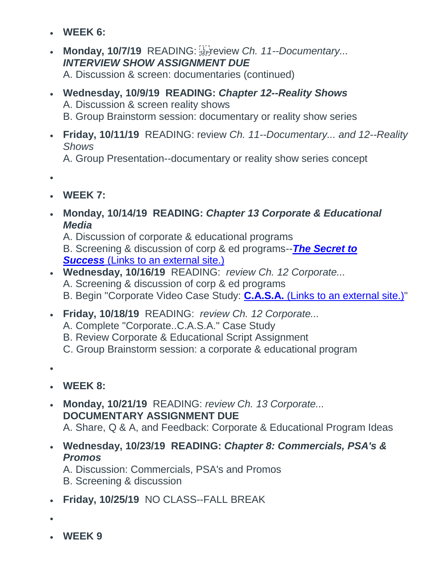- **WEEK 6:**
- Monday, 10/7/19 READING: SEPT review *Ch. 11--Documentary... INTERVIEW SHOW ASSIGNMENT DUE*

A. Discussion & screen: documentaries (continued)

- **Wednesday, 10/9/19 READING:** *Chapter 12--Reality Shows* A. Discussion & screen reality shows B. Group Brainstorm session: documentary or reality show series
- **Friday, 10/11/19** READING: review *Ch. 11--Documentary... and 12--Reality Shows* A. Group Presentation--documentary or reality show series concept
- $\bullet$
- **WEEK 7:**
- **Monday, 10/14/19 READING:** *Chapter 13 Corporate & Educational Media*

A. Discussion of corporate & educational programs

B. Screening & discussion of corp & ed programs--*[The Secret to](https://www.prageru.com/courses/life-studies/secret-success)  [Success](https://www.prageru.com/courses/life-studies/secret-success)* (Links to an external site.)

- **Wednesday, 10/16/19** READING: *review Ch. 12 Corporate...* A. Screening & discussion of corp & ed programs B. Begin "Corporate Video Case Study: **[C.A.S.A.](http://www.casaforchildren.org/site/c.mtJSJ7MPIsE/b.5301295/k.BE9A/Home.htm)** (Links to an external site.)"
- **Friday, 10/18/19** READING: *review Ch. 12 Corporate...*
	- A. Complete "Corporate..C.A.S.A." Case Study
	- B. Review Corporate & Educational Script Assignment
	- C. Group Brainstorm session: a corporate & educational program
- $\bullet$
- **WEEK 8:**
- **Monday, 10/21/19** READING: *review Ch. 13 Corporate...* **DOCUMENTARY ASSIGNMENT DUE** A. Share, Q & A, and Feedback: Corporate & Educational Program Ideas
- **Wednesday, 10/23/19 READING:** *Chapter 8: Commercials, PSA's & Promos*

A. Discussion: Commercials, PSA's and Promos B. Screening & discussion

- **Friday, 10/25/19** NO CLASS--FALL BREAK
- $\bullet$
- **WEEK 9**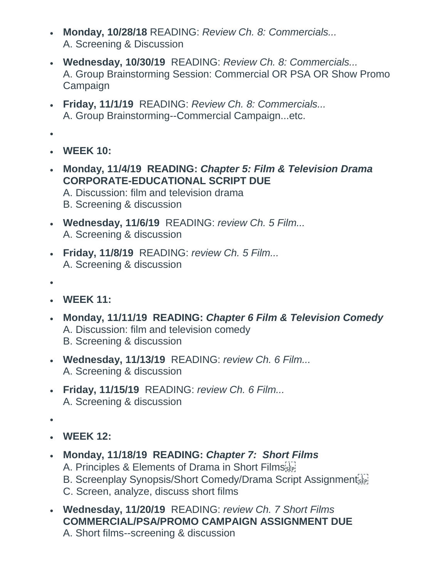- **Monday, 10/28/18** READING: *Review Ch. 8: Commercials...* A. Screening & Discussion
- **Wednesday, 10/30/19** READING: *Review Ch. 8: Commercials...* A. Group Brainstorming Session: Commercial OR PSA OR Show Promo Campaign
- **Friday, 11/1/19** READING: *Review Ch. 8: Commercials...* A. Group Brainstorming--Commercial Campaign...etc.
- $\bullet$
- **WEEK 10:**
- **Monday, 11/4/19 READING:** *Chapter 5: Film & Television Drama* **CORPORATE-EDUCATIONAL SCRIPT DUE** A. Discussion: film and television drama B. Screening & discussion
- **Wednesday, 11/6/19** READING: *review Ch. 5 Film...*
	- A. Screening & discussion
- **Friday, 11/8/19** READING: *review Ch. 5 Film...* A. Screening & discussion
- $\bullet$
- **WEEK 11:**
- **Monday, 11/11/19 READING:** *Chapter 6 Film & Television Comedy* A. Discussion: film and television comedy B. Screening & discussion
- **Wednesday, 11/13/19** READING: *review Ch. 6 Film...* A. Screening & discussion
- **Friday, 11/15/19** READING: *review Ch. 6 Film...* A. Screening & discussion
- $\bullet$
- **WEEK 12:**
- **Monday, 11/18/19 READING:** *Chapter 7: Short Films*
	- A. Principles & Elements of Drama in Short Filmsister!
	- B. Screenplay Synopsis/Short Comedy/Drama Script Assignment
	- C. Screen, analyze, discuss short films
- **Wednesday, 11/20/19** READING: *review Ch. 7 Short Films* **COMMERCIAL/PSA/PROMO CAMPAIGN ASSIGNMENT DUE** A. Short films--screening & discussion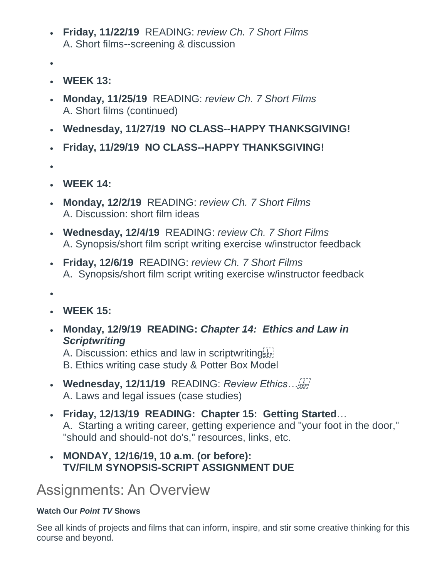- **Friday, 11/22/19** READING: *review Ch. 7 Short Films* A. Short films--screening & discussion
- $\bullet$
- **WEEK 13:**
- **Monday, 11/25/19** READING: *review Ch. 7 Short Films* A. Short films (continued)
- **Wednesday, 11/27/19 NO CLASS--HAPPY THANKSGIVING!**
- **Friday, 11/29/19 NO CLASS--HAPPY THANKSGIVING!**
- $\bullet$
- **WEEK 14:**
- **Monday, 12/2/19** READING: *review Ch. 7 Short Films* A. Discussion: short film ideas
- **Wednesday, 12/4/19** READING: *review Ch. 7 Short Films* A. Synopsis/short film script writing exercise w/instructor feedback
- **Friday, 12/6/19** READING: *review Ch. 7 Short Films* A. Synopsis/short film script writing exercise w/instructor feedback
- $\bullet$
- **WEEK 15:**
- **Monday, 12/9/19 READING:** *Chapter 14: Ethics and Law in Scriptwriting*

A. Discussion: ethics and law in scriptwriting B. Ethics writing case study & Potter Box Model

- **Wednesday, 12/11/19** READING: *Review Ethics…* A. Laws and legal issues (case studies)
- **Friday, 12/13/19 READING: Chapter 15: Getting Started**… A. Starting a writing career, getting experience and "your foot in the door," "should and should-not do's," resources, links, etc.
- **MONDAY, 12/16/19, 10 a.m. (or before): TV/FILM SYNOPSIS-SCRIPT ASSIGNMENT DUE**

Assignments: An Overview

#### **Watch Our** *Point TV* **Shows**

See all kinds of projects and films that can inform, inspire, and stir some creative thinking for this course and beyond.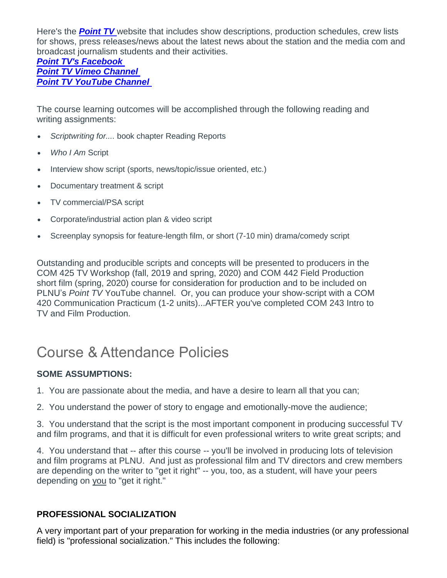Here's the *[Point TV](http://pointtv23.com/com425and243/)* website that includes show descriptions, production schedules, crew lists for shows, press releases/news about the latest news about the station and the media com and broadcast journalism students and their activities.

#### *[Point TV's Facebook](https://www.facebook.com/pages/Point-TV/447038881997027?ref=hl) Point TV [Vimeo Channel](https://vimeo.com/channels/pointtv) [Point TV YouTube Channel](https://www.youtube.com/channel/UCbSHEdR_GA73Wpay3g4OuBQ)*

The course learning outcomes will be accomplished through the following reading and writing assignments:

- *Scriptwriting for....* book chapter Reading Reports
- *Who I Am* Script
- Interview show script (sports, news/topic/issue oriented, etc.)
- Documentary treatment & script
- TV commercial/PSA script
- Corporate/industrial action plan & video script
- Screenplay synopsis for feature-length film, or short (7-10 min) drama/comedy script

Outstanding and producible scripts and concepts will be presented to producers in the COM 425 TV Workshop (fall, 2019 and spring, 2020) and COM 442 Field Production short film (spring, 2020) course for consideration for production and to be included on PLNU's *Point TV* YouTube channel. Or, you can produce your show-script with a COM 420 Communication Practicum (1-2 units)...AFTER you've completed COM 243 Intro to TV and Film Production.

### Course & Attendance Policies

#### **SOME ASSUMPTIONS:**

1. You are passionate about the media, and have a desire to learn all that you can;

2. You understand the power of story to engage and emotionally-move the audience;

3. You understand that the script is the most important component in producing successful TV and film programs, and that it is difficult for even professional writers to write great scripts; and

4. You understand that -- after this course -- you'll be involved in producing lots of television and film programs at PLNU. And just as professional film and TV directors and crew members are depending on the writer to "get it right" -- you, too, as a student, will have your peers depending on you to "get it right."

#### **PROFESSIONAL SOCIALIZATION**

A very important part of your preparation for working in the media industries (or any professional field) is "professional socialization." This includes the following: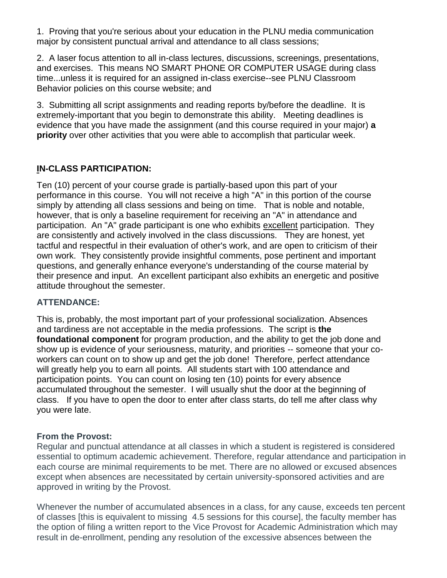1. Proving that you're serious about your education in the PLNU media communication major by consistent punctual arrival and attendance to all class sessions;

2. A laser focus attention to all in-class lectures, discussions, screenings, presentations, and exercises. This means NO SMART PHONE OR COMPUTER USAGE during class time...unless it is required for an assigned in-class exercise--see PLNU Classroom Behavior policies on this course website; and

3. Submitting all script assignments and reading reports by/before the deadline. It is extremely-important that you begin to demonstrate this ability. Meeting deadlines is evidence that you have made the assignment (and this course required in your major) **a priority** over other activities that you were able to accomplish that particular week.

#### **IN-CLASS PARTICIPATION:**

Ten (10) percent of your course grade is partially-based upon this part of your performance in this course. You will not receive a high "A" in this portion of the course simply by attending all class sessions and being on time. That is noble and notable, however, that is only a baseline requirement for receiving an "A" in attendance and participation. An "A" grade participant is one who exhibits excellent participation. They are consistently and actively involved in the class discussions. They are honest, yet tactful and respectful in their evaluation of other's work, and are open to criticism of their own work. They consistently provide insightful comments, pose pertinent and important questions, and generally enhance everyone's understanding of the course material by their presence and input. An excellent participant also exhibits an energetic and positive attitude throughout the semester.

#### **ATTENDANCE:**

This is, probably, the most important part of your professional socialization. Absences and tardiness are not acceptable in the media professions. The script is **the foundational component** for program production, and the ability to get the job done and show up is evidence of your seriousness, maturity, and priorities -- someone that your coworkers can count on to show up and get the job done! Therefore, perfect attendance will greatly help you to earn all points. All students start with 100 attendance and participation points. You can count on losing ten (10) points for every absence accumulated throughout the semester. I will usually shut the door at the beginning of class. If you have to open the door to enter after class starts, do tell me after class why you were late.

#### **From the Provost:**

Regular and punctual attendance at all classes in which a student is registered is considered essential to optimum academic achievement. Therefore, regular attendance and participation in each course are minimal requirements to be met. There are no allowed or excused absences except when absences are necessitated by certain university-sponsored activities and are approved in writing by the Provost.

Whenever the number of accumulated absences in a class, for any cause, exceeds ten percent of classes [this is equivalent to missing 4.5 sessions for this course], the faculty member has the option of filing a written report to the Vice Provost for Academic Administration which may result in de-enrollment, pending any resolution of the excessive absences between the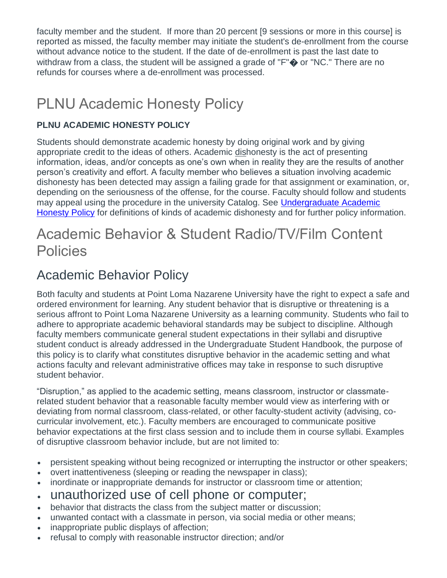faculty member and the student. If more than 20 percent [9 sessions or more in this course] is reported as missed, the faculty member may initiate the student's de-enrollment from the course without advance notice to the student. If the date of de-enrollment is past the last date to withdraw from a class, the student will be assigned a grade of "F" $\spadesuit$  or "NC." There are no refunds for courses where a de-enrollment was processed.

## PLNU Academic Honesty Policy

#### **PLNU ACADEMIC HONESTY POLICY**

Students should demonstrate academic honesty by doing original work and by giving appropriate credit to the ideas of others. Academic dishonesty is the act of presenting information, ideas, and/or concepts as one's own when in reality they are the results of another person's creativity and effort. A faculty member who believes a situation involving academic dishonesty has been detected may assign a failing grade for that assignment or examination, or, depending on the seriousness of the offense, for the course. Faculty should follow and students may appeal using the procedure in the university Catalog. See [Undergraduate Academic](https://catalog.pointloma.edu/content.php?catoid=41&navoid=2435#Academic_Honesty)  [Honesty Policy](https://catalog.pointloma.edu/content.php?catoid=41&navoid=2435#Academic_Honesty) for definitions of kinds of academic dishonesty and for further policy information.

### Academic Behavior & Student Radio/TV/Film Content Policies

### Academic Behavior Policy

Both faculty and students at Point Loma Nazarene University have the right to expect a safe and ordered environment for learning. Any student behavior that is disruptive or threatening is a serious affront to Point Loma Nazarene University as a learning community. Students who fail to adhere to appropriate academic behavioral standards may be subject to discipline. Although faculty members communicate general student expectations in their syllabi and disruptive student conduct is already addressed in the Undergraduate Student Handbook, the purpose of this policy is to clarify what constitutes disruptive behavior in the academic setting and what actions faculty and relevant administrative offices may take in response to such disruptive student behavior.

"Disruption," as applied to the academic setting, means classroom, instructor or classmaterelated student behavior that a reasonable faculty member would view as interfering with or deviating from normal classroom, class-related, or other faculty-student activity (advising, cocurricular involvement, etc.). Faculty members are encouraged to communicate positive behavior expectations at the first class session and to include them in course syllabi. Examples of disruptive classroom behavior include, but are not limited to:

- persistent speaking without being recognized or interrupting the instructor or other speakers;
- overt inattentiveness (sleeping or reading the newspaper in class);
- inordinate or inappropriate demands for instructor or classroom time or attention;
- unauthorized use of cell phone or computer;
- behavior that distracts the class from the subject matter or discussion;
- unwanted contact with a classmate in person, via social media or other means;
- inappropriate public displays of affection;
- refusal to comply with reasonable instructor direction; and/or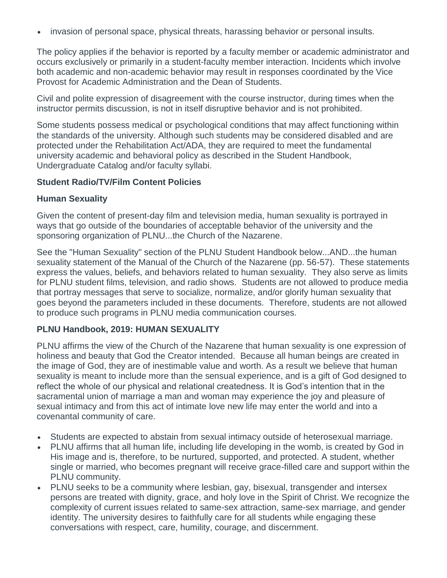• invasion of personal space, physical threats, harassing behavior or personal insults.

The policy applies if the behavior is reported by a faculty member or academic administrator and occurs exclusively or primarily in a student-faculty member interaction. Incidents which involve both academic and non-academic behavior may result in responses coordinated by the Vice Provost for Academic Administration and the Dean of Students.

Civil and polite expression of disagreement with the course instructor, during times when the instructor permits discussion, is not in itself disruptive behavior and is not prohibited.

Some students possess medical or psychological conditions that may affect functioning within the standards of the university. Although such students may be considered disabled and are protected under the Rehabilitation Act/ADA, they are required to meet the fundamental university academic and behavioral policy as described in the Student Handbook, Undergraduate Catalog and/or faculty syllabi.

#### **Student Radio/TV/Film Content Policies**

#### **Human Sexuality**

Given the content of present-day film and television media, human sexuality is portrayed in ways that go outside of the boundaries of acceptable behavior of the university and the sponsoring organization of PLNU...the Church of the Nazarene.

See the "Human Sexuality" section of the PLNU Student Handbook below...AND...the human sexuality statement of the Manual of the Church of the Nazarene (pp. 56-57). These statements express the values, beliefs, and behaviors related to human sexuality. They also serve as limits for PLNU student films, television, and radio shows. Students are not allowed to produce media that portray messages that serve to socialize, normalize, and/or glorify human sexuality that goes beyond the parameters included in these documents. Therefore, students are not allowed to produce such programs in PLNU media communication courses.

#### **PLNU Handbook, 2019: HUMAN SEXUALITY**

PLNU affirms the view of the Church of the Nazarene that human sexuality is one expression of holiness and beauty that God the Creator intended. Because all human beings are created in the image of God, they are of inestimable value and worth. As a result we believe that human sexuality is meant to include more than the sensual experience, and is a gift of God designed to reflect the whole of our physical and relational createdness. It is God's intention that in the sacramental union of marriage a man and woman may experience the joy and pleasure of sexual intimacy and from this act of intimate love new life may enter the world and into a covenantal community of care.

- Students are expected to abstain from sexual intimacy outside of heterosexual marriage.
- PLNU affirms that all human life, including life developing in the womb, is created by God in His image and is, therefore, to be nurtured, supported, and protected. A student, whether single or married, who becomes pregnant will receive grace-filled care and support within the PLNU community.
- PLNU seeks to be a community where lesbian, gay, bisexual, transgender and intersex persons are treated with dignity, grace, and holy love in the Spirit of Christ. We recognize the complexity of current issues related to same-sex attraction, same-sex marriage, and gender identity. The university desires to faithfully care for all students while engaging these conversations with respect, care, humility, courage, and discernment.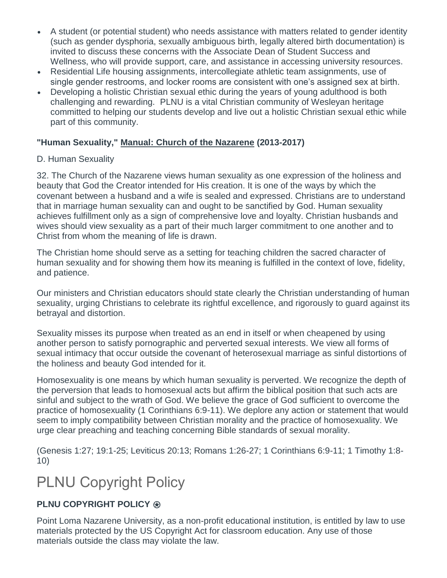- A student (or potential student) who needs assistance with matters related to gender identity (such as gender dysphoria, sexually ambiguous birth, legally altered birth documentation) is invited to discuss these concerns with the Associate Dean of Student Success and Wellness, who will provide support, care, and assistance in accessing university resources.
- Residential Life housing assignments, intercollegiate athletic team assignments, use of single gender restrooms, and locker rooms are consistent with one's assigned sex at birth.
- Developing a holistic Christian sexual ethic during the years of young adulthood is both challenging and rewarding. PLNU is a vital Christian community of Wesleyan heritage committed to helping our students develop and live out a holistic Christian sexual ethic while part of this community.

#### **"Human Sexuality," Manual: Church of the Nazarene (2013-2017)**

#### D. Human Sexuality

32. The Church of the Nazarene views human sexuality as one expression of the holiness and beauty that God the Creator intended for His creation. It is one of the ways by which the covenant between a husband and a wife is sealed and expressed. Christians are to understand that in marriage human sexuality can and ought to be sanctified by God. Human sexuality achieves fulfillment only as a sign of comprehensive love and loyalty. Christian husbands and wives should view sexuality as a part of their much larger commitment to one another and to Christ from whom the meaning of life is drawn.

The Christian home should serve as a setting for teaching children the sacred character of human sexuality and for showing them how its meaning is fulfilled in the context of love, fidelity, and patience.

Our ministers and Christian educators should state clearly the Christian understanding of human sexuality, urging Christians to celebrate its rightful excellence, and rigorously to guard against its betrayal and distortion.

Sexuality misses its purpose when treated as an end in itself or when cheapened by using another person to satisfy pornographic and perverted sexual interests. We view all forms of sexual intimacy that occur outside the covenant of heterosexual marriage as sinful distortions of the holiness and beauty God intended for it.

Homosexuality is one means by which human sexuality is perverted. We recognize the depth of the perversion that leads to homosexual acts but affirm the biblical position that such acts are sinful and subject to the wrath of God. We believe the grace of God sufficient to overcome the practice of homosexuality (1 Corinthians 6:9-11). We deplore any action or statement that would seem to imply compatibility between Christian morality and the practice of homosexuality. We urge clear preaching and teaching concerning Bible standards of sexual morality.

(Genesis 1:27; 19:1-25; Leviticus 20:13; Romans 1:26-27; 1 Corinthians 6:9-11; 1 Timothy 1:8- 10)

### PLNU Copyright Policy

#### **PLNU COPYRIGHT POLICY ®**

Point Loma Nazarene University, as a non-profit educational institution, is entitled by law to use materials protected by the US Copyright Act for classroom education. Any use of those materials outside the class may violate the law.